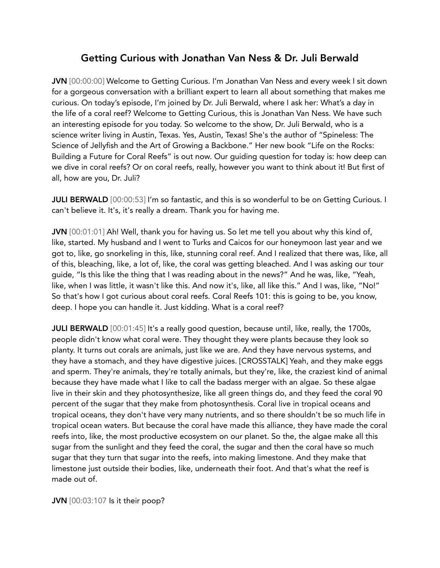## Getting Curious with Jonathan Van Ness & Dr. Juli Berwald

JVN [00:00:00] Welcome to Getting Curious. I'm Jonathan Van Ness and every week I sit down for a gorgeous conversation with a brilliant expert to learn all about something that makes me curious. On today's episode, I'm joined by Dr. Juli Berwald, where I ask her: What's a day in the life of a coral reef? Welcome to Getting Curious, this is Jonathan Van Ness. We have such an interesting episode for you today. So welcome to the show, Dr. Juli Berwald, who is a science writer living in Austin, Texas. Yes, Austin, Texas! She's the author of "Spineless: The Science of Jellyfish and the Art of Growing a Backbone." Her new book "Life on the Rocks: Building a Future for Coral Reefs" is out now. Our guiding question for today is: how deep can we dive in coral reefs? Or on coral reefs, really, however you want to think about it! But first of all, how are you, Dr. Juli?

**JULI BERWALD** [00:00:53] I'm so fantastic, and this is so wonderful to be on Getting Curious. I can't believe it. It's, it's really a dream. Thank you for having me.

JVN [00:01:01] Ah! Well, thank you for having us. So let me tell you about why this kind of, like, started. My husband and I went to Turks and Caicos for our honeymoon last year and we got to, like, go snorkeling in this, like, stunning coral reef. And I realized that there was, like, all of this, bleaching, like, a lot of, like, the coral was getting bleached. And I was asking our tour guide, "Is this like the thing that I was reading about in the news?" And he was, like, "Yeah, like, when I was little, it wasn't like this. And now it's, like, all like this." And I was, like, "No!" So that's how I got curious about coral reefs. Coral Reefs 101: this is going to be, you know, deep. I hope you can handle it. Just kidding. What is a coral reef?

JULI BERWALD [00:01:45] It's a really good question, because until, like, really, the 1700s, people didn't know what coral were. They thought they were plants because they look so planty. It turns out corals are animals, just like we are. And they have nervous systems, and they have a stomach, and they have digestive juices. [CROSSTALK] Yeah, and they make eggs and sperm. They're animals, they're totally animals, but they're, like, the craziest kind of animal because they have made what I like to call the badass merger with an algae. So these algae live in their skin and they photosynthesize, like all green things do, and they feed the coral 90 percent of the sugar that they make from photosynthesis. Coral live in tropical oceans and tropical oceans, they don't have very many nutrients, and so there shouldn't be so much life in tropical ocean waters. But because the coral have made this alliance, they have made the coral reefs into, like, the most productive ecosystem on our planet. So the, the algae make all this sugar from the sunlight and they feed the coral, the sugar and then the coral have so much sugar that they turn that sugar into the reefs, into making limestone. And they make that limestone just outside their bodies, like, underneath their foot. And that's what the reef is made out of.

JVN [00:03:107 Is it their poop?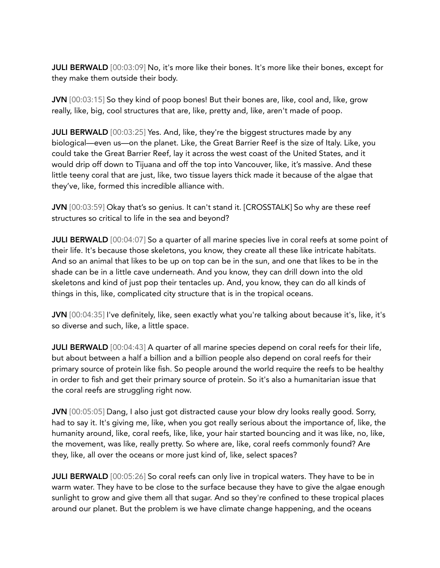JULI BERWALD [00:03:09] No, it's more like their bones. It's more like their bones, except for they make them outside their body.

JVN [00:03:15] So they kind of poop bones! But their bones are, like, cool and, like, grow really, like, big, cool structures that are, like, pretty and, like, aren't made of poop.

JULI BERWALD [00:03:25] Yes. And, like, they're the biggest structures made by any biological—even us—on the planet. Like, the Great Barrier Reef is the size of Italy. Like, you could take the Great Barrier Reef, lay it across the west coast of the United States, and it would drip off down to Tijuana and off the top into Vancouver, like, it's massive. And these little teeny coral that are just, like, two tissue layers thick made it because of the algae that they've, like, formed this incredible alliance with.

JVN [00:03:59] Okay that's so genius. It can't stand it. [CROSSTALK] So why are these reef structures so critical to life in the sea and beyond?

**JULI BERWALD** [00:04:07] So a quarter of all marine species live in coral reefs at some point of their life. It's because those skeletons, you know, they create all these like intricate habitats. And so an animal that likes to be up on top can be in the sun, and one that likes to be in the shade can be in a little cave underneath. And you know, they can drill down into the old skeletons and kind of just pop their tentacles up. And, you know, they can do all kinds of things in this, like, complicated city structure that is in the tropical oceans.

JVN [00:04:35] I've definitely, like, seen exactly what you're talking about because it's, like, it's so diverse and such, like, a little space.

JULI BERWALD [00:04:43] A quarter of all marine species depend on coral reefs for their life, but about between a half a billion and a billion people also depend on coral reefs for their primary source of protein like fish. So people around the world require the reefs to be healthy in order to fish and get their primary source of protein. So it's also a humanitarian issue that the coral reefs are struggling right now.

JVN [00:05:05] Dang, I also just got distracted cause your blow dry looks really good. Sorry, had to say it. It's giving me, like, when you got really serious about the importance of, like, the humanity around, like, coral reefs, like, like, your hair started bouncing and it was like, no, like, the movement, was like, really pretty. So where are, like, coral reefs commonly found? Are they, like, all over the oceans or more just kind of, like, select spaces?

**JULI BERWALD** [00:05:26] So coral reefs can only live in tropical waters. They have to be in warm water. They have to be close to the surface because they have to give the algae enough sunlight to grow and give them all that sugar. And so they're confined to these tropical places around our planet. But the problem is we have climate change happening, and the oceans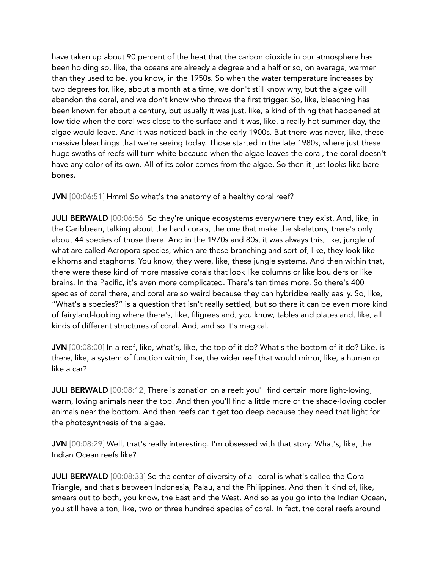have taken up about 90 percent of the heat that the carbon dioxide in our atmosphere has been holding so, like, the oceans are already a degree and a half or so, on average, warmer than they used to be, you know, in the 1950s. So when the water temperature increases by two degrees for, like, about a month at a time, we don't still know why, but the algae will abandon the coral, and we don't know who throws the first trigger. So, like, bleaching has been known for about a century, but usually it was just, like, a kind of thing that happened at low tide when the coral was close to the surface and it was, like, a really hot summer day, the algae would leave. And it was noticed back in the early 1900s. But there was never, like, these massive bleachings that we're seeing today. Those started in the late 1980s, where just these huge swaths of reefs will turn white because when the algae leaves the coral, the coral doesn't have any color of its own. All of its color comes from the algae. So then it just looks like bare bones.

JVN [00:06:51] Hmm! So what's the anatomy of a healthy coral reef?

JULI BERWALD [00:06:56] So they're unique ecosystems everywhere they exist. And, like, in the Caribbean, talking about the hard corals, the one that make the skeletons, there's only about 44 species of those there. And in the 1970s and 80s, it was always this, like, jungle of what are called Acropora species, which are these branching and sort of, like, they look like elkhorns and staghorns. You know, they were, like, these jungle systems. And then within that, there were these kind of more massive corals that look like columns or like boulders or like brains. In the Pacific, it's even more complicated. There's ten times more. So there's 400 species of coral there, and coral are so weird because they can hybridize really easily. So, like, "What's a species?" is a question that isn't really settled, but so there it can be even more kind of fairyland-looking where there's, like, filigrees and, you know, tables and plates and, like, all kinds of different structures of coral. And, and so it's magical.

JVN [00:08:00] In a reef, like, what's, like, the top of it do? What's the bottom of it do? Like, is there, like, a system of function within, like, the wider reef that would mirror, like, a human or like a car?

JULI BERWALD [00:08:12] There is zonation on a reef: you'll find certain more light-loving, warm, loving animals near the top. And then you'll find a little more of the shade-loving cooler animals near the bottom. And then reefs can't get too deep because they need that light for the photosynthesis of the algae.

JVN [00:08:29] Well, that's really interesting. I'm obsessed with that story. What's, like, the Indian Ocean reefs like?

JULI BERWALD [00:08:33] So the center of diversity of all coral is what's called the Coral Triangle, and that's between Indonesia, Palau, and the Philippines. And then it kind of, like, smears out to both, you know, the East and the West. And so as you go into the Indian Ocean, you still have a ton, like, two or three hundred species of coral. In fact, the coral reefs around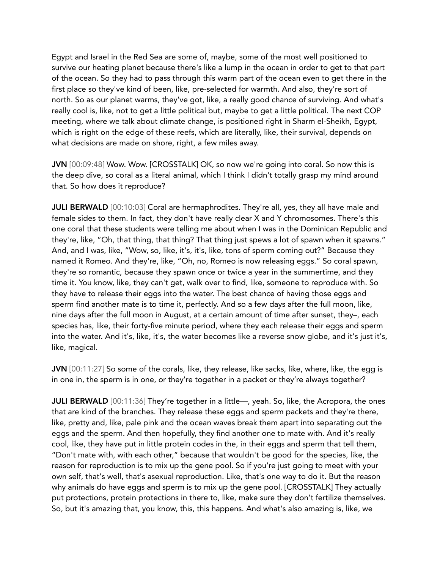Egypt and Israel in the Red Sea are some of, maybe, some of the most well positioned to survive our heating planet because there's like a lump in the ocean in order to get to that part of the ocean. So they had to pass through this warm part of the ocean even to get there in the first place so they've kind of been, like, pre-selected for warmth. And also, they're sort of north. So as our planet warms, they've got, like, a really good chance of surviving. And what's really cool is, like, not to get a little political but, maybe to get a little political. The next COP meeting, where we talk about climate change, is positioned right in Sharm el-Sheikh, Egypt, which is right on the edge of these reefs, which are literally, like, their survival, depends on what decisions are made on shore, right, a few miles away.

JVN [00:09:48] Wow. Wow. [CROSSTALK] OK, so now we're going into coral. So now this is the deep dive, so coral as a literal animal, which I think I didn't totally grasp my mind around that. So how does it reproduce?

**JULI BERWALD** [00:10:03] Coral are hermaphrodites. They're all, yes, they all have male and female sides to them. In fact, they don't have really clear X and Y chromosomes. There's this one coral that these students were telling me about when I was in the Dominican Republic and they're, like, "Oh, that thing, that thing? That thing just spews a lot of spawn when it spawns." And, and I was, like, "Wow, so, like, it's, it's, like, tons of sperm coming out?" Because they named it Romeo. And they're, like, "Oh, no, Romeo is now releasing eggs." So coral spawn, they're so romantic, because they spawn once or twice a year in the summertime, and they time it. You know, like, they can't get, walk over to find, like, someone to reproduce with. So they have to release their eggs into the water. The best chance of having those eggs and sperm find another mate is to time it, perfectly. And so a few days after the full moon, like, nine days after the full moon in August, at a certain amount of time after sunset, they–, each species has, like, their forty-five minute period, where they each release their eggs and sperm into the water. And it's, like, it's, the water becomes like a reverse snow globe, and it's just it's, like, magical.

JVN [00:11:27] So some of the corals, like, they release, like sacks, like, where, like, the egg is in one in, the sperm is in one, or they're together in a packet or they're always together?

**JULI BERWALD** [00:11:36] They're together in a little—, yeah. So, like, the Acropora, the ones that are kind of the branches. They release these eggs and sperm packets and they're there, like, pretty and, like, pale pink and the ocean waves break them apart into separating out the eggs and the sperm. And then hopefully, they find another one to mate with. And it's really cool, like, they have put in little protein codes in the, in their eggs and sperm that tell them, "Don't mate with, with each other," because that wouldn't be good for the species, like, the reason for reproduction is to mix up the gene pool. So if you're just going to meet with your own self, that's well, that's asexual reproduction. Like, that's one way to do it. But the reason why animals do have eggs and sperm is to mix up the gene pool. [CROSSTALK] They actually put protections, protein protections in there to, like, make sure they don't fertilize themselves. So, but it's amazing that, you know, this, this happens. And what's also amazing is, like, we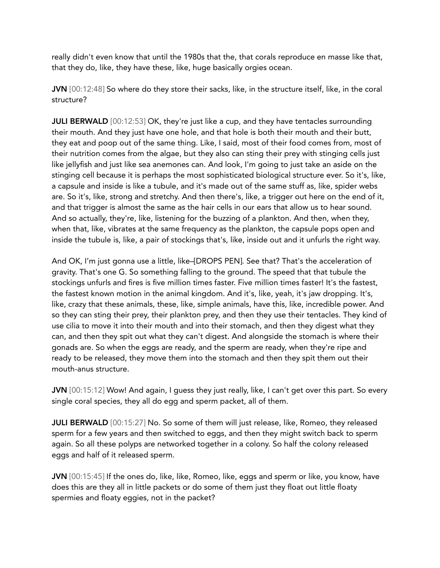really didn't even know that until the 1980s that the, that corals reproduce en masse like that, that they do, like, they have these, like, huge basically orgies ocean.

JVN [00:12:48] So where do they store their sacks, like, in the structure itself, like, in the coral structure?

**JULI BERWALD** [00:12:53] OK, they're just like a cup, and they have tentacles surrounding their mouth. And they just have one hole, and that hole is both their mouth and their butt, they eat and poop out of the same thing. Like, I said, most of their food comes from, most of their nutrition comes from the algae, but they also can sting their prey with stinging cells just like jellyfish and just like sea anemones can. And look, I'm going to just take an aside on the stinging cell because it is perhaps the most sophisticated biological structure ever. So it's, like, a capsule and inside is like a tubule, and it's made out of the same stuff as, like, spider webs are. So it's, like, strong and stretchy. And then there's, like, a trigger out here on the end of it, and that trigger is almost the same as the hair cells in our ears that allow us to hear sound. And so actually, they're, like, listening for the buzzing of a plankton. And then, when they, when that, like, vibrates at the same frequency as the plankton, the capsule pops open and inside the tubule is, like, a pair of stockings that's, like, inside out and it unfurls the right way.

And OK, I'm just gonna use a little, like–[DROPS PEN]. See that? That's the acceleration of gravity. That's one G. So something falling to the ground. The speed that that tubule the stockings unfurls and fires is five million times faster. Five million times faster! It's the fastest, the fastest known motion in the animal kingdom. And it's, like, yeah, it's jaw dropping. It's, like, crazy that these animals, these, like, simple animals, have this, like, incredible power. And so they can sting their prey, their plankton prey, and then they use their tentacles. They kind of use cilia to move it into their mouth and into their stomach, and then they digest what they can, and then they spit out what they can't digest. And alongside the stomach is where their gonads are. So when the eggs are ready, and the sperm are ready, when they're ripe and ready to be released, they move them into the stomach and then they spit them out their mouth-anus structure.

JVN [00:15:12] Wow! And again, I guess they just really, like, I can't get over this part. So every single coral species, they all do egg and sperm packet, all of them.

JULI BERWALD [00:15:27] No. So some of them will just release, like, Romeo, they released sperm for a few years and then switched to eggs, and then they might switch back to sperm again. So all these polyps are networked together in a colony. So half the colony released eggs and half of it released sperm.

JVN [00:15:45] If the ones do, like, like, Romeo, like, eggs and sperm or like, you know, have does this are they all in little packets or do some of them just they float out little floaty spermies and floaty eggies, not in the packet?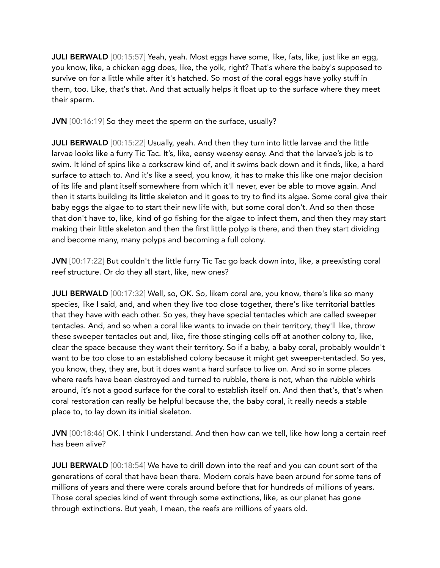JULI BERWALD [00:15:57] Yeah, yeah. Most eggs have some, like, fats, like, just like an egg, you know, like, a chicken egg does, like, the yolk, right? That's where the baby's supposed to survive on for a little while after it's hatched. So most of the coral eggs have yolky stuff in them, too. Like, that's that. And that actually helps it float up to the surface where they meet their sperm.

JVN [00:16:19] So they meet the sperm on the surface, usually?

JULI BERWALD [00:15:22] Usually, yeah. And then they turn into little larvae and the little larvae looks like a furry Tic Tac. It's, like, eensy weensy eensy. And that the larvae's job is to swim. It kind of spins like a corkscrew kind of, and it swims back down and it finds, like, a hard surface to attach to. And it's like a seed, you know, it has to make this like one major decision of its life and plant itself somewhere from which it'll never, ever be able to move again. And then it starts building its little skeleton and it goes to try to find its algae. Some coral give their baby eggs the algae to to start their new life with, but some coral don't. And so then those that don't have to, like, kind of go fishing for the algae to infect them, and then they may start making their little skeleton and then the first little polyp is there, and then they start dividing and become many, many polyps and becoming a full colony.

JVN [00:17:22] But couldn't the little furry Tic Tac go back down into, like, a preexisting coral reef structure. Or do they all start, like, new ones?

**JULI BERWALD** [00:17:32] Well, so, OK. So, likem coral are, you know, there's like so many species, like I said, and, and when they live too close together, there's like territorial battles that they have with each other. So yes, they have special tentacles which are called sweeper tentacles. And, and so when a coral like wants to invade on their territory, they'll like, throw these sweeper tentacles out and, like, fire those stinging cells off at another colony to, like, clear the space because they want their territory. So if a baby, a baby coral, probably wouldn't want to be too close to an established colony because it might get sweeper-tentacled. So yes, you know, they, they are, but it does want a hard surface to live on. And so in some places where reefs have been destroyed and turned to rubble, there is not, when the rubble whirls around, it's not a good surface for the coral to establish itself on. And then that's, that's when coral restoration can really be helpful because the, the baby coral, it really needs a stable place to, to lay down its initial skeleton.

JVN [00:18:46] OK. I think I understand. And then how can we tell, like how long a certain reef has been alive?

JULI BERWALD [00:18:54] We have to drill down into the reef and you can count sort of the generations of coral that have been there. Modern corals have been around for some tens of millions of years and there were corals around before that for hundreds of millions of years. Those coral species kind of went through some extinctions, like, as our planet has gone through extinctions. But yeah, I mean, the reefs are millions of years old.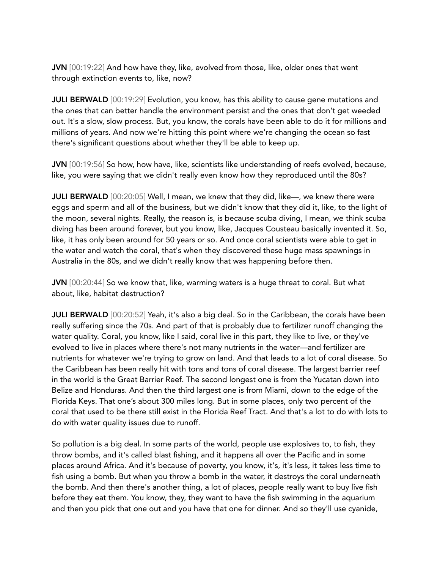JVN [00:19:22] And how have they, like, evolved from those, like, older ones that went through extinction events to, like, now?

**JULI BERWALD** [00:19:29] Evolution, you know, has this ability to cause gene mutations and the ones that can better handle the environment persist and the ones that don't get weeded out. It's a slow, slow process. But, you know, the corals have been able to do it for millions and millions of years. And now we're hitting this point where we're changing the ocean so fast there's significant questions about whether they'll be able to keep up.

JVN [00:19:56] So how, how have, like, scientists like understanding of reefs evolved, because, like, you were saying that we didn't really even know how they reproduced until the 80s?

JULI BERWALD [00:20:05] Well, I mean, we knew that they did, like—, we knew there were eggs and sperm and all of the business, but we didn't know that they did it, like, to the light of the moon, several nights. Really, the reason is, is because scuba diving, I mean, we think scuba diving has been around forever, but you know, like, Jacques Cousteau basically invented it. So, like, it has only been around for 50 years or so. And once coral scientists were able to get in the water and watch the coral, that's when they discovered these huge mass spawnings in Australia in the 80s, and we didn't really know that was happening before then.

JVN [00:20:44] So we know that, like, warming waters is a huge threat to coral. But what about, like, habitat destruction?

JULI BERWALD [00:20:52] Yeah, it's also a big deal. So in the Caribbean, the corals have been really suffering since the 70s. And part of that is probably due to fertilizer runoff changing the water quality. Coral, you know, like I said, coral live in this part, they like to live, or they've evolved to live in places where there's not many nutrients in the water—and fertilizer are nutrients for whatever we're trying to grow on land. And that leads to a lot of coral disease. So the Caribbean has been really hit with tons and tons of coral disease. The largest barrier reef in the world is the Great Barrier Reef. The second longest one is from the Yucatan down into Belize and Honduras. And then the third largest one is from Miami, down to the edge of the Florida Keys. That one's about 300 miles long. But in some places, only two percent of the coral that used to be there still exist in the Florida Reef Tract. And that's a lot to do with lots to do with water quality issues due to runoff.

So pollution is a big deal. In some parts of the world, people use explosives to, to fish, they throw bombs, and it's called blast fishing, and it happens all over the Pacific and in some places around Africa. And it's because of poverty, you know, it's, it's less, it takes less time to fish using a bomb. But when you throw a bomb in the water, it destroys the coral underneath the bomb. And then there's another thing, a lot of places, people really want to buy live fish before they eat them. You know, they, they want to have the fish swimming in the aquarium and then you pick that one out and you have that one for dinner. And so they'll use cyanide,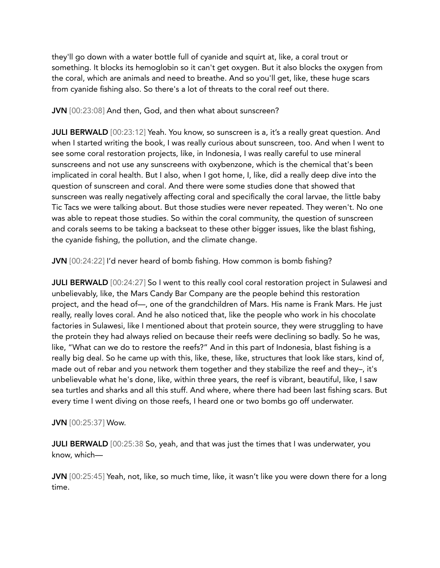they'll go down with a water bottle full of cyanide and squirt at, like, a coral trout or something. It blocks its hemoglobin so it can't get oxygen. But it also blocks the oxygen from the coral, which are animals and need to breathe. And so you'll get, like, these huge scars from cyanide fishing also. So there's a lot of threats to the coral reef out there.

JVN [00:23:08] And then, God, and then what about sunscreen?

JULI BERWALD [00:23:12] Yeah. You know, so sunscreen is a, it's a really great question. And when I started writing the book, I was really curious about sunscreen, too. And when I went to see some coral restoration projects, like, in Indonesia, I was really careful to use mineral sunscreens and not use any sunscreens with oxybenzone, which is the chemical that's been implicated in coral health. But I also, when I got home, I, like, did a really deep dive into the question of sunscreen and coral. And there were some studies done that showed that sunscreen was really negatively affecting coral and specifically the coral larvae, the little baby Tic Tacs we were talking about. But those studies were never repeated. They weren't. No one was able to repeat those studies. So within the coral community, the question of sunscreen and corals seems to be taking a backseat to these other bigger issues, like the blast fishing, the cyanide fishing, the pollution, and the climate change.

JVN [00:24:22] I'd never heard of bomb fishing. How common is bomb fishing?

JULI BERWALD [00:24:27] So I went to this really cool coral restoration project in Sulawesi and unbelievably, like, the Mars Candy Bar Company are the people behind this restoration project, and the head of—, one of the grandchildren of Mars. His name is Frank Mars. He just really, really loves coral. And he also noticed that, like the people who work in his chocolate factories in Sulawesi, like I mentioned about that protein source, they were struggling to have the protein they had always relied on because their reefs were declining so badly. So he was, like, "What can we do to restore the reefs?" And in this part of Indonesia, blast fishing is a really big deal. So he came up with this, like, these, like, structures that look like stars, kind of, made out of rebar and you network them together and they stabilize the reef and they–, it's unbelievable what he's done, like, within three years, the reef is vibrant, beautiful, like, I saw sea turtles and sharks and all this stuff. And where, where there had been last fishing scars. But every time I went diving on those reefs, I heard one or two bombs go off underwater.

JVN [00:25:37] Wow.

**JULI BERWALD** [00:25:38 So, yeah, and that was just the times that I was underwater, you know, which—

JVN [00:25:45] Yeah, not, like, so much time, like, it wasn't like you were down there for a long time.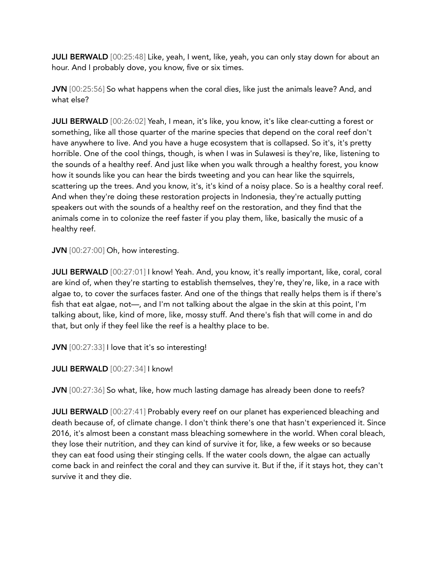**JULI BERWALD** [00:25:48] Like, yeah, I went, like, yeah, you can only stay down for about an hour. And I probably dove, you know, five or six times.

JVN [00:25:56] So what happens when the coral dies, like just the animals leave? And, and what else?

JULI BERWALD [00:26:02] Yeah, I mean, it's like, you know, it's like clear-cutting a forest or something, like all those quarter of the marine species that depend on the coral reef don't have anywhere to live. And you have a huge ecosystem that is collapsed. So it's, it's pretty horrible. One of the cool things, though, is when I was in Sulawesi is they're, like, listening to the sounds of a healthy reef. And just like when you walk through a healthy forest, you know how it sounds like you can hear the birds tweeting and you can hear like the squirrels, scattering up the trees. And you know, it's, it's kind of a noisy place. So is a healthy coral reef. And when they're doing these restoration projects in Indonesia, they're actually putting speakers out with the sounds of a healthy reef on the restoration, and they find that the animals come in to colonize the reef faster if you play them, like, basically the music of a healthy reef.

JVN [00:27:00] Oh, how interesting.

JULI BERWALD [00:27:01] I know! Yeah. And, you know, it's really important, like, coral, coral are kind of, when they're starting to establish themselves, they're, they're, like, in a race with algae to, to cover the surfaces faster. And one of the things that really helps them is if there's fish that eat algae, not—, and I'm not talking about the algae in the skin at this point, I'm talking about, like, kind of more, like, mossy stuff. And there's fish that will come in and do that, but only if they feel like the reef is a healthy place to be.

JVN [00:27:33] I love that it's so interesting!

JULI BERWALD [00:27:34] I know!

JVN [00:27:36] So what, like, how much lasting damage has already been done to reefs?

**JULI BERWALD** [00:27:41] Probably every reef on our planet has experienced bleaching and death because of, of climate change. I don't think there's one that hasn't experienced it. Since 2016, it's almost been a constant mass bleaching somewhere in the world. When coral bleach, they lose their nutrition, and they can kind of survive it for, like, a few weeks or so because they can eat food using their stinging cells. If the water cools down, the algae can actually come back in and reinfect the coral and they can survive it. But if the, if it stays hot, they can't survive it and they die.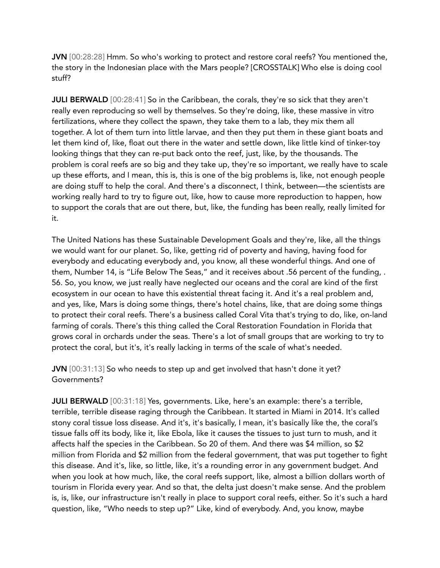JVN [00:28:28] Hmm. So who's working to protect and restore coral reefs? You mentioned the, the story in the Indonesian place with the Mars people? [CROSSTALK] Who else is doing cool stuff?

JULI BERWALD [00:28:41] So in the Caribbean, the corals, they're so sick that they aren't really even reproducing so well by themselves. So they're doing, like, these massive in vitro fertilizations, where they collect the spawn, they take them to a lab, they mix them all together. A lot of them turn into little larvae, and then they put them in these giant boats and let them kind of, like, float out there in the water and settle down, like little kind of tinker-toy looking things that they can re-put back onto the reef, just, like, by the thousands. The problem is coral reefs are so big and they take up, they're so important, we really have to scale up these efforts, and I mean, this is, this is one of the big problems is, like, not enough people are doing stuff to help the coral. And there's a disconnect, I think, between—the scientists are working really hard to try to figure out, like, how to cause more reproduction to happen, how to support the corals that are out there, but, like, the funding has been really, really limited for it.

The United Nations has these Sustainable Development Goals and they're, like, all the things we would want for our planet. So, like, getting rid of poverty and having, having food for everybody and educating everybody and, you know, all these wonderful things. And one of them, Number 14, is "Life Below The Seas," and it receives about .56 percent of the funding, . 56. So, you know, we just really have neglected our oceans and the coral are kind of the first ecosystem in our ocean to have this existential threat facing it. And it's a real problem and, and yes, like, Mars is doing some things, there's hotel chains, like, that are doing some things to protect their coral reefs. There's a business called Coral Vita that's trying to do, like, on-land farming of corals. There's this thing called the Coral Restoration Foundation in Florida that grows coral in orchards under the seas. There's a lot of small groups that are working to try to protect the coral, but it's, it's really lacking in terms of the scale of what's needed.

JVN [00:31:13] So who needs to step up and get involved that hasn't done it yet? Governments?

JULI BERWALD [00:31:18] Yes, governments. Like, here's an example: there's a terrible, terrible, terrible disease raging through the Caribbean. It started in Miami in 2014. It's called stony coral tissue loss disease. And it's, it's basically, I mean, it's basically like the, the coral's tissue falls off its body, like it, like Ebola, like it causes the tissues to just turn to mush, and it affects half the species in the Caribbean. So 20 of them. And there was \$4 million, so \$2 million from Florida and \$2 million from the federal government, that was put together to fight this disease. And it's, like, so little, like, it's a rounding error in any government budget. And when you look at how much, like, the coral reefs support, like, almost a billion dollars worth of tourism in Florida every year. And so that, the delta just doesn't make sense. And the problem is, is, like, our infrastructure isn't really in place to support coral reefs, either. So it's such a hard question, like, "Who needs to step up?" Like, kind of everybody. And, you know, maybe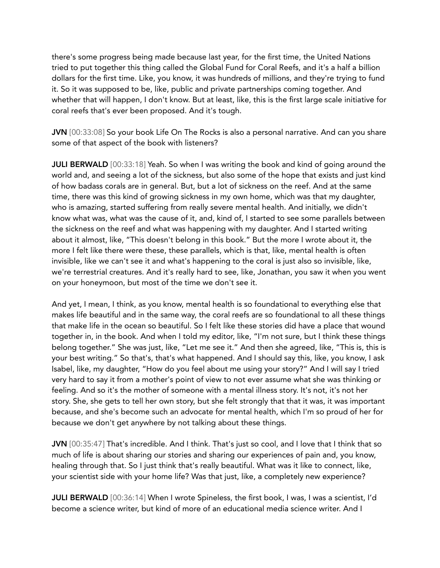there's some progress being made because last year, for the first time, the United Nations tried to put together this thing called the Global Fund for Coral Reefs, and it's a half a billion dollars for the first time. Like, you know, it was hundreds of millions, and they're trying to fund it. So it was supposed to be, like, public and private partnerships coming together. And whether that will happen, I don't know. But at least, like, this is the first large scale initiative for coral reefs that's ever been proposed. And it's tough.

JVN [00:33:08] So your book Life On The Rocks is also a personal narrative. And can you share some of that aspect of the book with listeners?

**JULI BERWALD** [00:33:18] Yeah. So when I was writing the book and kind of going around the world and, and seeing a lot of the sickness, but also some of the hope that exists and just kind of how badass corals are in general. But, but a lot of sickness on the reef. And at the same time, there was this kind of growing sickness in my own home, which was that my daughter, who is amazing, started suffering from really severe mental health. And initially, we didn't know what was, what was the cause of it, and, kind of, I started to see some parallels between the sickness on the reef and what was happening with my daughter. And I started writing about it almost, like, "This doesn't belong in this book." But the more I wrote about it, the more I felt like there were these, these parallels, which is that, like, mental health is often invisible, like we can't see it and what's happening to the coral is just also so invisible, like, we're terrestrial creatures. And it's really hard to see, like, Jonathan, you saw it when you went on your honeymoon, but most of the time we don't see it.

And yet, I mean, I think, as you know, mental health is so foundational to everything else that makes life beautiful and in the same way, the coral reefs are so foundational to all these things that make life in the ocean so beautiful. So I felt like these stories did have a place that wound together in, in the book. And when I told my editor, like, "I'm not sure, but I think these things belong together." She was just, like, "Let me see it." And then she agreed, like, "This is, this is your best writing." So that's, that's what happened. And I should say this, like, you know, I ask Isabel, like, my daughter, "How do you feel about me using your story?" And I will say I tried very hard to say it from a mother's point of view to not ever assume what she was thinking or feeling. And so it's the mother of someone with a mental illness story. It's not, it's not her story. She, she gets to tell her own story, but she felt strongly that that it was, it was important because, and she's become such an advocate for mental health, which I'm so proud of her for because we don't get anywhere by not talking about these things.

JVN [00:35:47] That's incredible. And I think. That's just so cool, and I love that I think that so much of life is about sharing our stories and sharing our experiences of pain and, you know, healing through that. So I just think that's really beautiful. What was it like to connect, like, your scientist side with your home life? Was that just, like, a completely new experience?

JULI BERWALD [00:36:14] When I wrote Spineless, the first book, I was, I was a scientist, I'd become a science writer, but kind of more of an educational media science writer. And I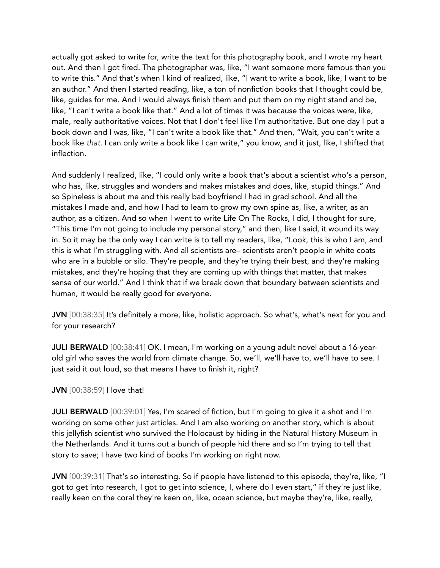actually got asked to write for, write the text for this photography book, and I wrote my heart out. And then I got fired. The photographer was, like, "I want someone more famous than you to write this." And that's when I kind of realized, like, "I want to write a book, like, I want to be an author." And then I started reading, like, a ton of nonfiction books that I thought could be, like, guides for me. And I would always finish them and put them on my night stand and be, like, "I can't write a book like that." And a lot of times it was because the voices were, like, male, really authoritative voices. Not that I don't feel like I'm authoritative. But one day I put a book down and I was, like, "I can't write a book like that." And then, "Wait, you can't write a book like *that*. I can only write a book like I can write," you know, and it just, like, I shifted that inflection.

And suddenly I realized, like, "I could only write a book that's about a scientist who's a person, who has, like, struggles and wonders and makes mistakes and does, like, stupid things." And so Spineless is about me and this really bad boyfriend I had in grad school. And all the mistakes I made and, and how I had to learn to grow my own spine as, like, a writer, as an author, as a citizen. And so when I went to write Life On The Rocks, I did, I thought for sure, "This time I'm not going to include my personal story," and then, like I said, it wound its way in. So it may be the only way I can write is to tell my readers, like, "Look, this is who I am, and this is what I'm struggling with. And all scientists are– scientists aren't people in white coats who are in a bubble or silo. They're people, and they're trying their best, and they're making mistakes, and they're hoping that they are coming up with things that matter, that makes sense of our world." And I think that if we break down that boundary between scientists and human, it would be really good for everyone.

JVN [00:38:35] It's definitely a more, like, holistic approach. So what's, what's next for you and for your research?

JULI BERWALD [00:38:41] OK. I mean, I'm working on a young adult novel about a 16-yearold girl who saves the world from climate change. So, we'll, we'll have to, we'll have to see. I just said it out loud, so that means I have to finish it, right?

## JVN [00:38:59] I love that!

JULI BERWALD [00:39:01] Yes, I'm scared of fiction, but I'm going to give it a shot and I'm working on some other just articles. And I am also working on another story, which is about this jellyfish scientist who survived the Holocaust by hiding in the Natural History Museum in the Netherlands. And it turns out a bunch of people hid there and so I'm trying to tell that story to save; I have two kind of books I'm working on right now.

JVN [00:39:31] That's so interesting. So if people have listened to this episode, they're, like, "I got to get into research, I got to get into science, I, where do I even start," if they're just like, really keen on the coral they're keen on, like, ocean science, but maybe they're, like, really,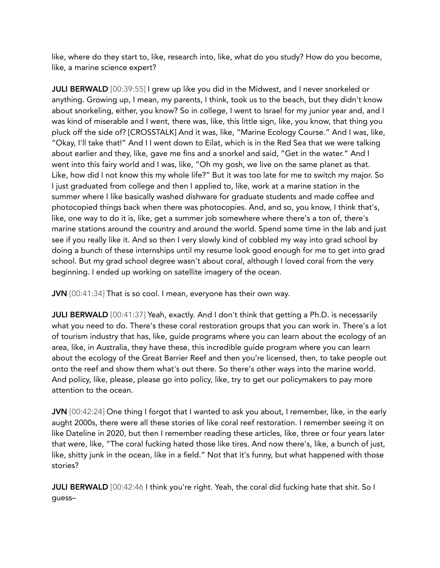like, where do they start to, like, research into, like, what do you study? How do you become, like, a marine science expert?

**JULI BERWALD** [00:39:55] I grew up like you did in the Midwest, and I never snorkeled or anything. Growing up, I mean, my parents, I think, took us to the beach, but they didn't know about snorkeling, either, you know? So in college, I went to Israel for my junior year and, and I was kind of miserable and I went, there was, like, this little sign, like, you know, that thing you pluck off the side of? [CROSSTALK] And it was, like, "Marine Ecology Course." And I was, like, "Okay, I'll take that!" And I I went down to Eilat, which is in the Red Sea that we were talking about earlier and they, like, gave me fins and a snorkel and said, "Get in the water." And I went into this fairy world and I was, like, "Oh my gosh, we live on the same planet as that. Like, how did I not know this my whole life?" But it was too late for me to switch my major. So I just graduated from college and then I applied to, like, work at a marine station in the summer where I like basically washed dishware for graduate students and made coffee and photocopied things back when there was photocopies. And, and so, you know, I think that's, like, one way to do it is, like, get a summer job somewhere where there's a ton of, there's marine stations around the country and around the world. Spend some time in the lab and just see if you really like it. And so then I very slowly kind of cobbled my way into grad school by doing a bunch of these internships until my resume look good enough for me to get into grad school. But my grad school degree wasn't about coral, although I loved coral from the very beginning. I ended up working on satellite imagery of the ocean.

JVN [00:41:34] That is so cool. I mean, everyone has their own way.

JULI BERWALD [00:41:37] Yeah, exactly. And I don't think that getting a Ph.D. is necessarily what you need to do. There's these coral restoration groups that you can work in. There's a lot of tourism industry that has, like, guide programs where you can learn about the ecology of an area, like, in Australia, they have these, this incredible guide program where you can learn about the ecology of the Great Barrier Reef and then you're licensed, then, to take people out onto the reef and show them what's out there. So there's other ways into the marine world. And policy, like, please, please go into policy, like, try to get our policymakers to pay more attention to the ocean.

JVN [00:42:24] One thing I forgot that I wanted to ask you about, I remember, like, in the early aught 2000s, there were all these stories of like coral reef restoration. I remember seeing it on like Dateline in 2020, but then I remember reading these articles, like, three or four years later that were, like, "The coral fucking hated those like tires. And now there's, like, a bunch of just, like, shitty junk in the ocean, like in a field." Not that it's funny, but what happened with those stories?

JULI BERWALD [00:42:46 I think you're right. Yeah, the coral did fucking hate that shit. So I guess–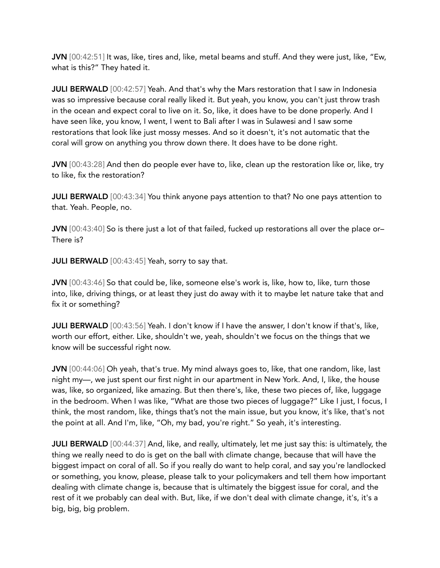JVN [00:42:51] It was, like, tires and, like, metal beams and stuff. And they were just, like, "Ew, what is this?" They hated it.

**JULI BERWALD** [00:42:57] Yeah. And that's why the Mars restoration that I saw in Indonesia was so impressive because coral really liked it. But yeah, you know, you can't just throw trash in the ocean and expect coral to live on it. So, like, it does have to be done properly. And I have seen like, you know, I went, I went to Bali after I was in Sulawesi and I saw some restorations that look like just mossy messes. And so it doesn't, it's not automatic that the coral will grow on anything you throw down there. It does have to be done right.

JVN [00:43:28] And then do people ever have to, like, clean up the restoration like or, like, try to like, fix the restoration?

JULI BERWALD [00:43:34] You think anyone pays attention to that? No one pays attention to that. Yeah. People, no.

JVN [00:43:40] So is there just a lot of that failed, fucked up restorations all over the place or– There is?

**JULI BERWALD** [00:43:45] Yeah, sorry to say that.

JVN [00:43:46] So that could be, like, someone else's work is, like, how to, like, turn those into, like, driving things, or at least they just do away with it to maybe let nature take that and fix it or something?

JULI BERWALD [00:43:56] Yeah. I don't know if I have the answer, I don't know if that's, like, worth our effort, either. Like, shouldn't we, yeah, shouldn't we focus on the things that we know will be successful right now.

JVN [00:44:06] Oh yeah, that's true. My mind always goes to, like, that one random, like, last night my—, we just spent our first night in our apartment in New York. And, I, like, the house was, like, so organized, like amazing. But then there's, like, these two pieces of, like, luggage in the bedroom. When I was like, "What are those two pieces of luggage?" Like I just, I focus, I think, the most random, like, things that's not the main issue, but you know, it's like, that's not the point at all. And I'm, like, "Oh, my bad, you're right." So yeah, it's interesting.

JULI BERWALD [00:44:37] And, like, and really, ultimately, let me just say this: is ultimately, the thing we really need to do is get on the ball with climate change, because that will have the biggest impact on coral of all. So if you really do want to help coral, and say you're landlocked or something, you know, please, please talk to your policymakers and tell them how important dealing with climate change is, because that is ultimately the biggest issue for coral, and the rest of it we probably can deal with. But, like, if we don't deal with climate change, it's, it's a big, big, big problem.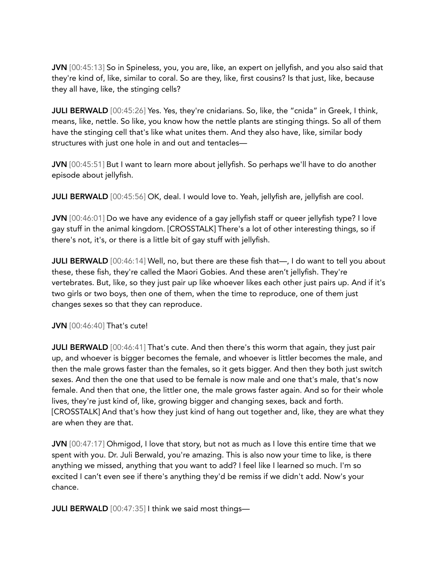JVN [00:45:13] So in Spineless, you, you are, like, an expert on jellyfish, and you also said that they're kind of, like, similar to coral. So are they, like, first cousins? Is that just, like, because they all have, like, the stinging cells?

JULI BERWALD [00:45:26] Yes. Yes, they're cnidarians. So, like, the "cnida" in Greek, I think, means, like, nettle. So like, you know how the nettle plants are stinging things. So all of them have the stinging cell that's like what unites them. And they also have, like, similar body structures with just one hole in and out and tentacles—

JVN [00:45:51] But I want to learn more about jellyfish. So perhaps we'll have to do another episode about jellyfish.

JULI BERWALD [00:45:56] OK, deal. I would love to. Yeah, jellyfish are, jellyfish are cool.

JVN [00:46:01] Do we have any evidence of a gay jellyfish staff or queer jellyfish type? I love gay stuff in the animal kingdom. [CROSSTALK] There's a lot of other interesting things, so if there's not, it's, or there is a little bit of gay stuff with jellyfish.

JULI BERWALD [00:46:14] Well, no, but there are these fish that—, I do want to tell you about these, these fish, they're called the Maori Gobies. And these aren't jellyfish. They're vertebrates. But, like, so they just pair up like whoever likes each other just pairs up. And if it's two girls or two boys, then one of them, when the time to reproduce, one of them just changes sexes so that they can reproduce.

JVN [00:46:40] That's cute!

JULI BERWALD [00:46:41] That's cute. And then there's this worm that again, they just pair up, and whoever is bigger becomes the female, and whoever is littler becomes the male, and then the male grows faster than the females, so it gets bigger. And then they both just switch sexes. And then the one that used to be female is now male and one that's male, that's now female. And then that one, the littler one, the male grows faster again. And so for their whole lives, they're just kind of, like, growing bigger and changing sexes, back and forth. [CROSSTALK] And that's how they just kind of hang out together and, like, they are what they are when they are that.

JVN [00:47:17] Ohmigod, I love that story, but not as much as I love this entire time that we spent with you. Dr. Juli Berwald, you're amazing. This is also now your time to like, is there anything we missed, anything that you want to add? I feel like I learned so much. I'm so excited I can't even see if there's anything they'd be remiss if we didn't add. Now's your chance.

JULI BERWALD [00:47:35] I think we said most things-